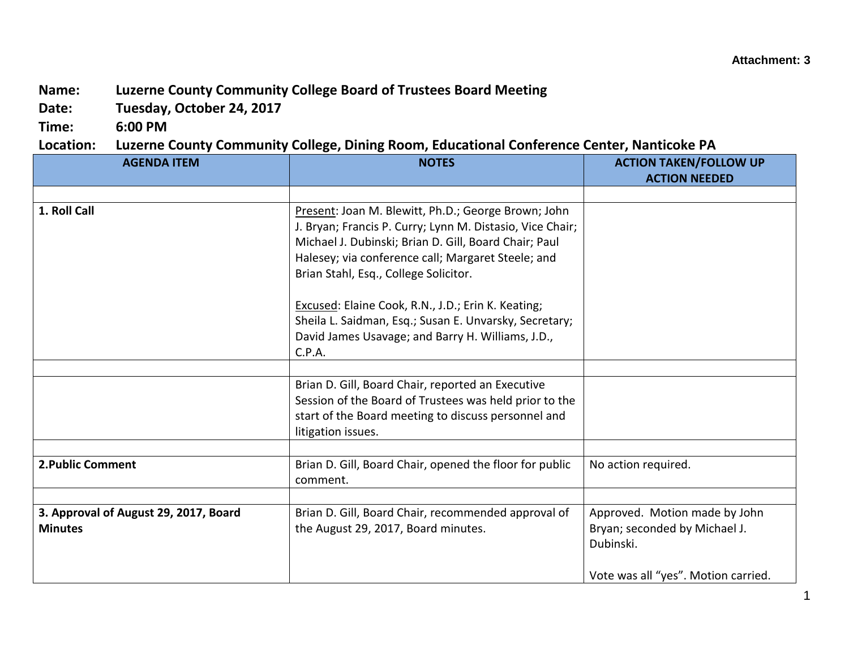## **Name: Luzerne County Community College Board of Trustees Board Meeting**

**Date: Tuesday, October 24, 2017**

**Time: 6:00 PM**

**Location: Luzerne County Community College, Dining Room, Educational Conference Center, Nanticoke PA**

| <b>AGENDA ITEM</b>                    | <b>NOTES</b>                                              | <b>ACTION TAKEN/FOLLOW UP</b>       |
|---------------------------------------|-----------------------------------------------------------|-------------------------------------|
|                                       |                                                           | <b>ACTION NEEDED</b>                |
|                                       |                                                           |                                     |
| 1. Roll Call                          | Present: Joan M. Blewitt, Ph.D.; George Brown; John       |                                     |
|                                       | J. Bryan; Francis P. Curry; Lynn M. Distasio, Vice Chair; |                                     |
|                                       | Michael J. Dubinski; Brian D. Gill, Board Chair; Paul     |                                     |
|                                       | Halesey; via conference call; Margaret Steele; and        |                                     |
|                                       | Brian Stahl, Esq., College Solicitor.                     |                                     |
|                                       |                                                           |                                     |
|                                       | Excused: Elaine Cook, R.N., J.D.; Erin K. Keating;        |                                     |
|                                       | Sheila L. Saidman, Esq.; Susan E. Unvarsky, Secretary;    |                                     |
|                                       | David James Usavage; and Barry H. Williams, J.D.,         |                                     |
|                                       | C.P.A.                                                    |                                     |
|                                       |                                                           |                                     |
|                                       | Brian D. Gill, Board Chair, reported an Executive         |                                     |
|                                       | Session of the Board of Trustees was held prior to the    |                                     |
|                                       | start of the Board meeting to discuss personnel and       |                                     |
|                                       | litigation issues.                                        |                                     |
|                                       |                                                           |                                     |
| 2. Public Comment                     | Brian D. Gill, Board Chair, opened the floor for public   | No action required.                 |
|                                       | comment.                                                  |                                     |
|                                       |                                                           |                                     |
| 3. Approval of August 29, 2017, Board | Brian D. Gill, Board Chair, recommended approval of       | Approved. Motion made by John       |
| <b>Minutes</b>                        | the August 29, 2017, Board minutes.                       | Bryan; seconded by Michael J.       |
|                                       |                                                           | Dubinski.                           |
|                                       |                                                           |                                     |
|                                       |                                                           | Vote was all "yes". Motion carried. |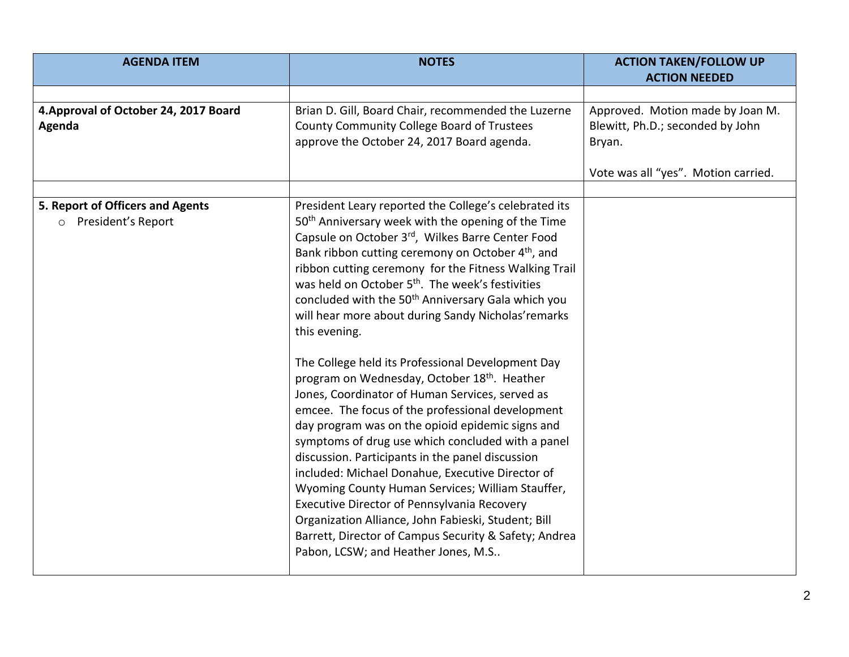| <b>AGENDA ITEM</b>                                                | <b>NOTES</b>                                                                                                                                                                                                                                                                                                                                                                                                                                                                                                                                                                                                                                                                                                                                                                                                                                                                                                                                                                                                                                                                                                                                                                                          | <b>ACTION TAKEN/FOLLOW UP</b><br><b>ACTION NEEDED</b>                                                                 |
|-------------------------------------------------------------------|-------------------------------------------------------------------------------------------------------------------------------------------------------------------------------------------------------------------------------------------------------------------------------------------------------------------------------------------------------------------------------------------------------------------------------------------------------------------------------------------------------------------------------------------------------------------------------------------------------------------------------------------------------------------------------------------------------------------------------------------------------------------------------------------------------------------------------------------------------------------------------------------------------------------------------------------------------------------------------------------------------------------------------------------------------------------------------------------------------------------------------------------------------------------------------------------------------|-----------------------------------------------------------------------------------------------------------------------|
|                                                                   |                                                                                                                                                                                                                                                                                                                                                                                                                                                                                                                                                                                                                                                                                                                                                                                                                                                                                                                                                                                                                                                                                                                                                                                                       |                                                                                                                       |
| 4. Approval of October 24, 2017 Board<br>Agenda                   | Brian D. Gill, Board Chair, recommended the Luzerne<br>County Community College Board of Trustees<br>approve the October 24, 2017 Board agenda.                                                                                                                                                                                                                                                                                                                                                                                                                                                                                                                                                                                                                                                                                                                                                                                                                                                                                                                                                                                                                                                       | Approved. Motion made by Joan M.<br>Blewitt, Ph.D.; seconded by John<br>Bryan.<br>Vote was all "yes". Motion carried. |
| 5. Report of Officers and Agents<br>President's Report<br>$\circ$ | President Leary reported the College's celebrated its<br>50 <sup>th</sup> Anniversary week with the opening of the Time<br>Capsule on October 3rd, Wilkes Barre Center Food<br>Bank ribbon cutting ceremony on October 4 <sup>th</sup> , and<br>ribbon cutting ceremony for the Fitness Walking Trail<br>was held on October 5 <sup>th</sup> . The week's festivities<br>concluded with the 50 <sup>th</sup> Anniversary Gala which you<br>will hear more about during Sandy Nicholas' remarks<br>this evening.<br>The College held its Professional Development Day<br>program on Wednesday, October 18th. Heather<br>Jones, Coordinator of Human Services, served as<br>emcee. The focus of the professional development<br>day program was on the opioid epidemic signs and<br>symptoms of drug use which concluded with a panel<br>discussion. Participants in the panel discussion<br>included: Michael Donahue, Executive Director of<br>Wyoming County Human Services; William Stauffer,<br>Executive Director of Pennsylvania Recovery<br>Organization Alliance, John Fabieski, Student; Bill<br>Barrett, Director of Campus Security & Safety; Andrea<br>Pabon, LCSW; and Heather Jones, M.S |                                                                                                                       |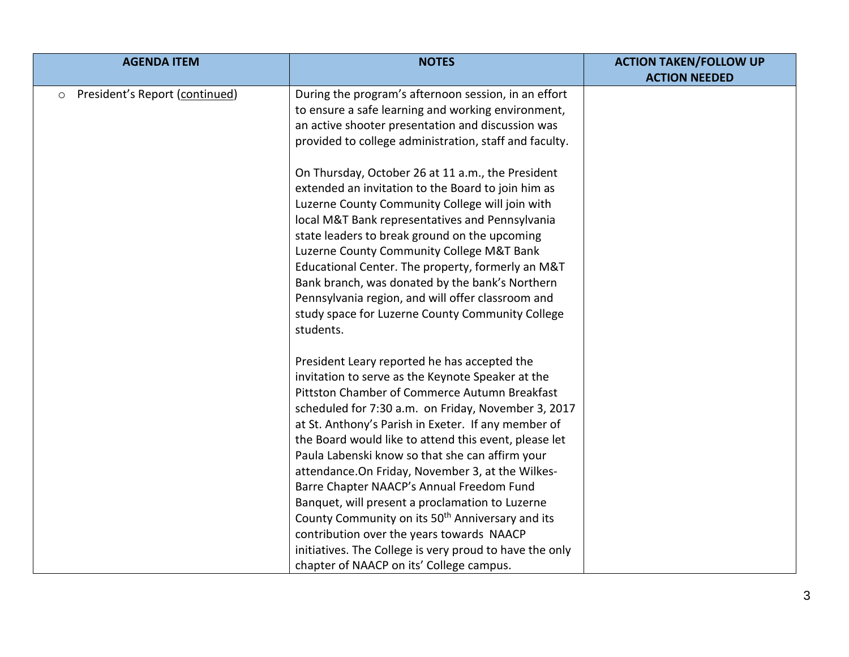| <b>AGENDA ITEM</b>                        | <b>NOTES</b>                                                 | <b>ACTION TAKEN/FOLLOW UP</b> |
|-------------------------------------------|--------------------------------------------------------------|-------------------------------|
|                                           |                                                              | <b>ACTION NEEDED</b>          |
| President's Report (continued)<br>$\circ$ | During the program's afternoon session, in an effort         |                               |
|                                           | to ensure a safe learning and working environment,           |                               |
|                                           | an active shooter presentation and discussion was            |                               |
|                                           | provided to college administration, staff and faculty.       |                               |
|                                           | On Thursday, October 26 at 11 a.m., the President            |                               |
|                                           | extended an invitation to the Board to join him as           |                               |
|                                           | Luzerne County Community College will join with              |                               |
|                                           | local M&T Bank representatives and Pennsylvania              |                               |
|                                           | state leaders to break ground on the upcoming                |                               |
|                                           | Luzerne County Community College M&T Bank                    |                               |
|                                           | Educational Center. The property, formerly an M&T            |                               |
|                                           | Bank branch, was donated by the bank's Northern              |                               |
|                                           | Pennsylvania region, and will offer classroom and            |                               |
|                                           | study space for Luzerne County Community College             |                               |
|                                           | students.                                                    |                               |
|                                           |                                                              |                               |
|                                           | President Leary reported he has accepted the                 |                               |
|                                           | invitation to serve as the Keynote Speaker at the            |                               |
|                                           | Pittston Chamber of Commerce Autumn Breakfast                |                               |
|                                           | scheduled for 7:30 a.m. on Friday, November 3, 2017          |                               |
|                                           | at St. Anthony's Parish in Exeter. If any member of          |                               |
|                                           | the Board would like to attend this event, please let        |                               |
|                                           | Paula Labenski know so that she can affirm your              |                               |
|                                           | attendance. On Friday, November 3, at the Wilkes-            |                               |
|                                           | Barre Chapter NAACP's Annual Freedom Fund                    |                               |
|                                           | Banquet, will present a proclamation to Luzerne              |                               |
|                                           | County Community on its 50 <sup>th</sup> Anniversary and its |                               |
|                                           | contribution over the years towards NAACP                    |                               |
|                                           | initiatives. The College is very proud to have the only      |                               |
|                                           | chapter of NAACP on its' College campus.                     |                               |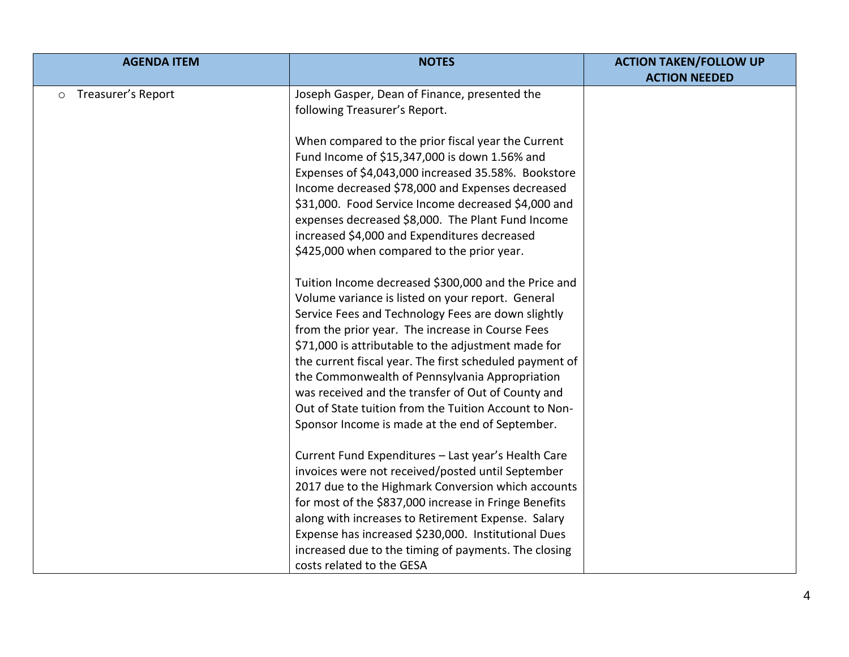| <b>AGENDA ITEM</b>            | <b>NOTES</b>                                            | <b>ACTION TAKEN/FOLLOW UP</b> |
|-------------------------------|---------------------------------------------------------|-------------------------------|
|                               |                                                         | <b>ACTION NEEDED</b>          |
| Treasurer's Report<br>$\circ$ | Joseph Gasper, Dean of Finance, presented the           |                               |
|                               | following Treasurer's Report.                           |                               |
|                               |                                                         |                               |
|                               | When compared to the prior fiscal year the Current      |                               |
|                               | Fund Income of \$15,347,000 is down 1.56% and           |                               |
|                               | Expenses of \$4,043,000 increased 35.58%. Bookstore     |                               |
|                               | Income decreased \$78,000 and Expenses decreased        |                               |
|                               | \$31,000. Food Service Income decreased \$4,000 and     |                               |
|                               | expenses decreased \$8,000. The Plant Fund Income       |                               |
|                               | increased \$4,000 and Expenditures decreased            |                               |
|                               | \$425,000 when compared to the prior year.              |                               |
|                               |                                                         |                               |
|                               | Tuition Income decreased \$300,000 and the Price and    |                               |
|                               | Volume variance is listed on your report. General       |                               |
|                               | Service Fees and Technology Fees are down slightly      |                               |
|                               | from the prior year. The increase in Course Fees        |                               |
|                               | \$71,000 is attributable to the adjustment made for     |                               |
|                               | the current fiscal year. The first scheduled payment of |                               |
|                               | the Commonwealth of Pennsylvania Appropriation          |                               |
|                               | was received and the transfer of Out of County and      |                               |
|                               | Out of State tuition from the Tuition Account to Non-   |                               |
|                               | Sponsor Income is made at the end of September.         |                               |
|                               |                                                         |                               |
|                               | Current Fund Expenditures - Last year's Health Care     |                               |
|                               | invoices were not received/posted until September       |                               |
|                               | 2017 due to the Highmark Conversion which accounts      |                               |
|                               | for most of the \$837,000 increase in Fringe Benefits   |                               |
|                               | along with increases to Retirement Expense. Salary      |                               |
|                               | Expense has increased \$230,000. Institutional Dues     |                               |
|                               | increased due to the timing of payments. The closing    |                               |
|                               | costs related to the GESA                               |                               |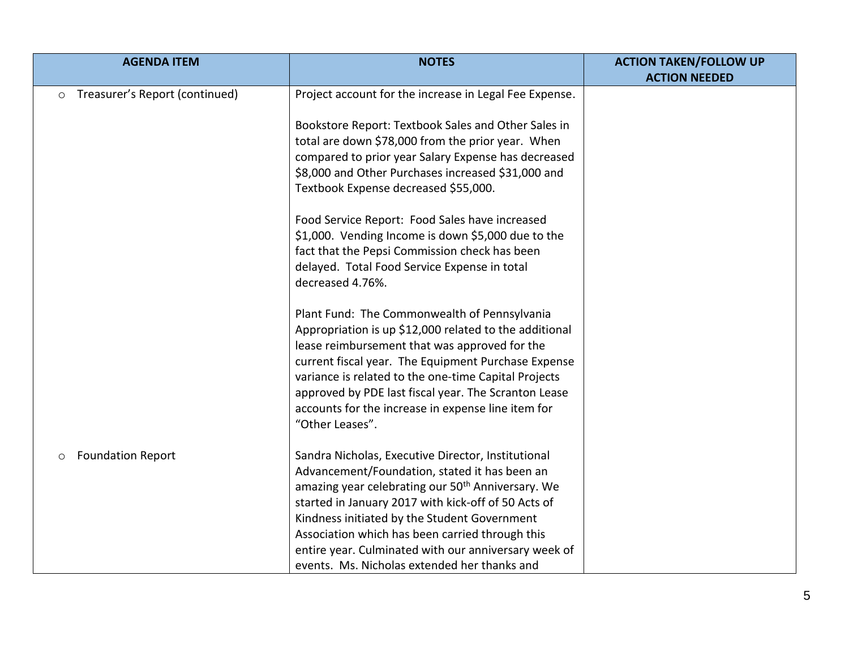| <b>AGENDA ITEM</b>                        | <b>NOTES</b>                                                                                         | <b>ACTION TAKEN/FOLLOW UP</b> |
|-------------------------------------------|------------------------------------------------------------------------------------------------------|-------------------------------|
|                                           |                                                                                                      | <b>ACTION NEEDED</b>          |
| Treasurer's Report (continued)<br>$\circ$ | Project account for the increase in Legal Fee Expense.                                               |                               |
|                                           | Bookstore Report: Textbook Sales and Other Sales in                                                  |                               |
|                                           | total are down \$78,000 from the prior year. When                                                    |                               |
|                                           | compared to prior year Salary Expense has decreased                                                  |                               |
|                                           | \$8,000 and Other Purchases increased \$31,000 and                                                   |                               |
|                                           | Textbook Expense decreased \$55,000.                                                                 |                               |
|                                           | Food Service Report: Food Sales have increased                                                       |                               |
|                                           | \$1,000. Vending Income is down \$5,000 due to the                                                   |                               |
|                                           | fact that the Pepsi Commission check has been                                                        |                               |
|                                           | delayed. Total Food Service Expense in total                                                         |                               |
|                                           | decreased 4.76%.                                                                                     |                               |
|                                           | Plant Fund: The Commonwealth of Pennsylvania                                                         |                               |
|                                           | Appropriation is up \$12,000 related to the additional                                               |                               |
|                                           | lease reimbursement that was approved for the                                                        |                               |
|                                           | current fiscal year. The Equipment Purchase Expense                                                  |                               |
|                                           | variance is related to the one-time Capital Projects                                                 |                               |
|                                           | approved by PDE last fiscal year. The Scranton Lease                                                 |                               |
|                                           | accounts for the increase in expense line item for<br>"Other Leases".                                |                               |
|                                           |                                                                                                      |                               |
| <b>Foundation Report</b><br>O             | Sandra Nicholas, Executive Director, Institutional                                                   |                               |
|                                           | Advancement/Foundation, stated it has been an                                                        |                               |
|                                           | amazing year celebrating our 50 <sup>th</sup> Anniversary. We                                        |                               |
|                                           | started in January 2017 with kick-off of 50 Acts of                                                  |                               |
|                                           | Kindness initiated by the Student Government                                                         |                               |
|                                           | Association which has been carried through this                                                      |                               |
|                                           | entire year. Culminated with our anniversary week of<br>events. Ms. Nicholas extended her thanks and |                               |
|                                           |                                                                                                      |                               |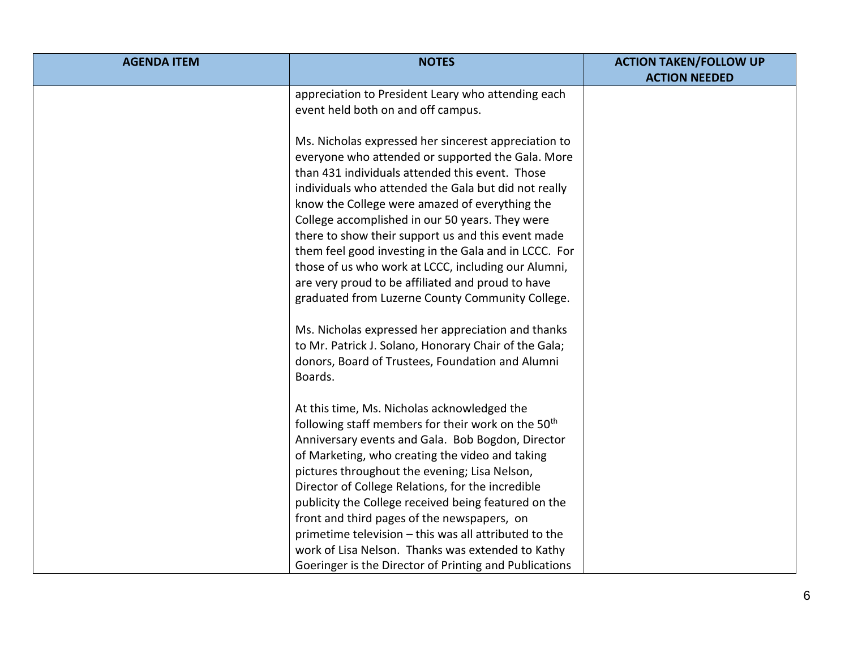| <b>AGENDA ITEM</b> | <b>NOTES</b>                                                   | <b>ACTION TAKEN/FOLLOW UP</b> |
|--------------------|----------------------------------------------------------------|-------------------------------|
|                    |                                                                | <b>ACTION NEEDED</b>          |
|                    | appreciation to President Leary who attending each             |                               |
|                    | event held both on and off campus.                             |                               |
|                    | Ms. Nicholas expressed her sincerest appreciation to           |                               |
|                    | everyone who attended or supported the Gala. More              |                               |
|                    | than 431 individuals attended this event. Those                |                               |
|                    | individuals who attended the Gala but did not really           |                               |
|                    | know the College were amazed of everything the                 |                               |
|                    | College accomplished in our 50 years. They were                |                               |
|                    | there to show their support us and this event made             |                               |
|                    | them feel good investing in the Gala and in LCCC. For          |                               |
|                    | those of us who work at LCCC, including our Alumni,            |                               |
|                    | are very proud to be affiliated and proud to have              |                               |
|                    | graduated from Luzerne County Community College.               |                               |
|                    |                                                                |                               |
|                    | Ms. Nicholas expressed her appreciation and thanks             |                               |
|                    | to Mr. Patrick J. Solano, Honorary Chair of the Gala;          |                               |
|                    | donors, Board of Trustees, Foundation and Alumni               |                               |
|                    | Boards.                                                        |                               |
|                    |                                                                |                               |
|                    | At this time, Ms. Nicholas acknowledged the                    |                               |
|                    | following staff members for their work on the 50 <sup>th</sup> |                               |
|                    | Anniversary events and Gala. Bob Bogdon, Director              |                               |
|                    | of Marketing, who creating the video and taking                |                               |
|                    | pictures throughout the evening; Lisa Nelson,                  |                               |
|                    | Director of College Relations, for the incredible              |                               |
|                    | publicity the College received being featured on the           |                               |
|                    | front and third pages of the newspapers, on                    |                               |
|                    | primetime television - this was all attributed to the          |                               |
|                    | work of Lisa Nelson. Thanks was extended to Kathy              |                               |
|                    | Goeringer is the Director of Printing and Publications         |                               |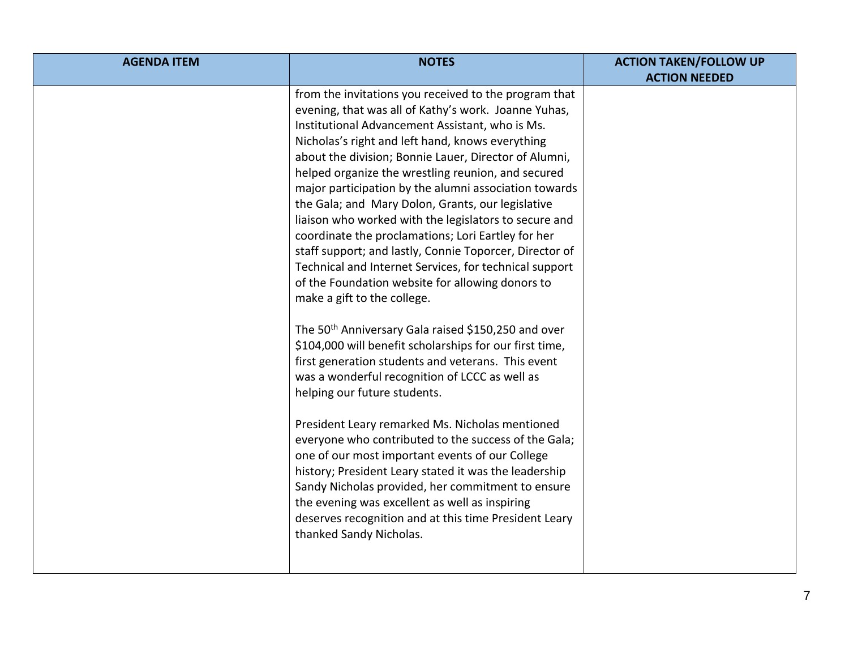| <b>AGENDA ITEM</b> | <b>NOTES</b>                                                                                                                                                                                                                                                                                                                                                                                                                                                                                                                                                                                                                                                                                                                                                                                                                                                                                                                                                                                                                                                                                                                                                                                                                                                                                                                                                                                                                                                     | <b>ACTION TAKEN/FOLLOW UP</b> |
|--------------------|------------------------------------------------------------------------------------------------------------------------------------------------------------------------------------------------------------------------------------------------------------------------------------------------------------------------------------------------------------------------------------------------------------------------------------------------------------------------------------------------------------------------------------------------------------------------------------------------------------------------------------------------------------------------------------------------------------------------------------------------------------------------------------------------------------------------------------------------------------------------------------------------------------------------------------------------------------------------------------------------------------------------------------------------------------------------------------------------------------------------------------------------------------------------------------------------------------------------------------------------------------------------------------------------------------------------------------------------------------------------------------------------------------------------------------------------------------------|-------------------------------|
|                    |                                                                                                                                                                                                                                                                                                                                                                                                                                                                                                                                                                                                                                                                                                                                                                                                                                                                                                                                                                                                                                                                                                                                                                                                                                                                                                                                                                                                                                                                  |                               |
|                    | from the invitations you received to the program that<br>evening, that was all of Kathy's work. Joanne Yuhas,<br>Institutional Advancement Assistant, who is Ms.<br>Nicholas's right and left hand, knows everything<br>about the division; Bonnie Lauer, Director of Alumni,<br>helped organize the wrestling reunion, and secured<br>major participation by the alumni association towards<br>the Gala; and Mary Dolon, Grants, our legislative<br>liaison who worked with the legislators to secure and<br>coordinate the proclamations; Lori Eartley for her<br>staff support; and lastly, Connie Toporcer, Director of<br>Technical and Internet Services, for technical support<br>of the Foundation website for allowing donors to<br>make a gift to the college.<br>The 50 <sup>th</sup> Anniversary Gala raised \$150,250 and over<br>\$104,000 will benefit scholarships for our first time,<br>first generation students and veterans. This event<br>was a wonderful recognition of LCCC as well as<br>helping our future students.<br>President Leary remarked Ms. Nicholas mentioned<br>everyone who contributed to the success of the Gala;<br>one of our most important events of our College<br>history; President Leary stated it was the leadership<br>Sandy Nicholas provided, her commitment to ensure<br>the evening was excellent as well as inspiring<br>deserves recognition and at this time President Leary<br>thanked Sandy Nicholas. | <b>ACTION NEEDED</b>          |
|                    |                                                                                                                                                                                                                                                                                                                                                                                                                                                                                                                                                                                                                                                                                                                                                                                                                                                                                                                                                                                                                                                                                                                                                                                                                                                                                                                                                                                                                                                                  |                               |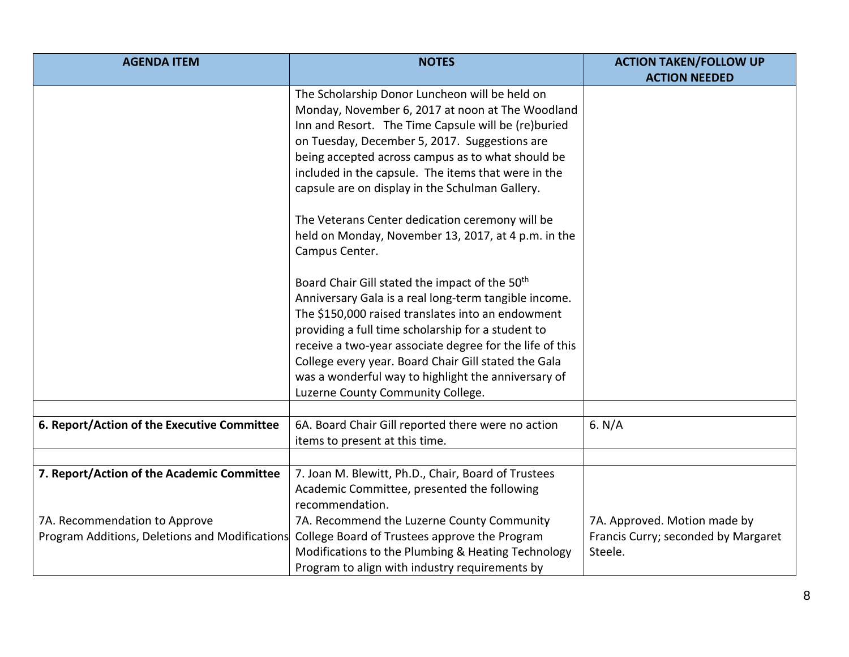| <b>AGENDA ITEM</b>                             | <b>NOTES</b>                                                                         | <b>ACTION TAKEN/FOLLOW UP</b>       |
|------------------------------------------------|--------------------------------------------------------------------------------------|-------------------------------------|
|                                                |                                                                                      | <b>ACTION NEEDED</b>                |
|                                                | The Scholarship Donor Luncheon will be held on                                       |                                     |
|                                                | Monday, November 6, 2017 at noon at The Woodland                                     |                                     |
|                                                | Inn and Resort. The Time Capsule will be (re)buried                                  |                                     |
|                                                | on Tuesday, December 5, 2017. Suggestions are                                        |                                     |
|                                                | being accepted across campus as to what should be                                    |                                     |
|                                                | included in the capsule. The items that were in the                                  |                                     |
|                                                | capsule are on display in the Schulman Gallery.                                      |                                     |
|                                                | The Veterans Center dedication ceremony will be                                      |                                     |
|                                                | held on Monday, November 13, 2017, at 4 p.m. in the                                  |                                     |
|                                                | Campus Center.                                                                       |                                     |
|                                                | Board Chair Gill stated the impact of the 50 <sup>th</sup>                           |                                     |
|                                                | Anniversary Gala is a real long-term tangible income.                                |                                     |
|                                                | The \$150,000 raised translates into an endowment                                    |                                     |
|                                                | providing a full time scholarship for a student to                                   |                                     |
|                                                | receive a two-year associate degree for the life of this                             |                                     |
|                                                | College every year. Board Chair Gill stated the Gala                                 |                                     |
|                                                | was a wonderful way to highlight the anniversary of                                  |                                     |
|                                                | Luzerne County Community College.                                                    |                                     |
|                                                |                                                                                      |                                     |
| 6. Report/Action of the Executive Committee    | 6A. Board Chair Gill reported there were no action<br>items to present at this time. | 6. $N/A$                            |
|                                                |                                                                                      |                                     |
| 7. Report/Action of the Academic Committee     | 7. Joan M. Blewitt, Ph.D., Chair, Board of Trustees                                  |                                     |
|                                                | Academic Committee, presented the following                                          |                                     |
|                                                | recommendation.                                                                      |                                     |
| 7A. Recommendation to Approve                  | 7A. Recommend the Luzerne County Community                                           | 7A. Approved. Motion made by        |
| Program Additions, Deletions and Modifications | College Board of Trustees approve the Program                                        | Francis Curry; seconded by Margaret |
|                                                | Modifications to the Plumbing & Heating Technology                                   | Steele.                             |
|                                                | Program to align with industry requirements by                                       |                                     |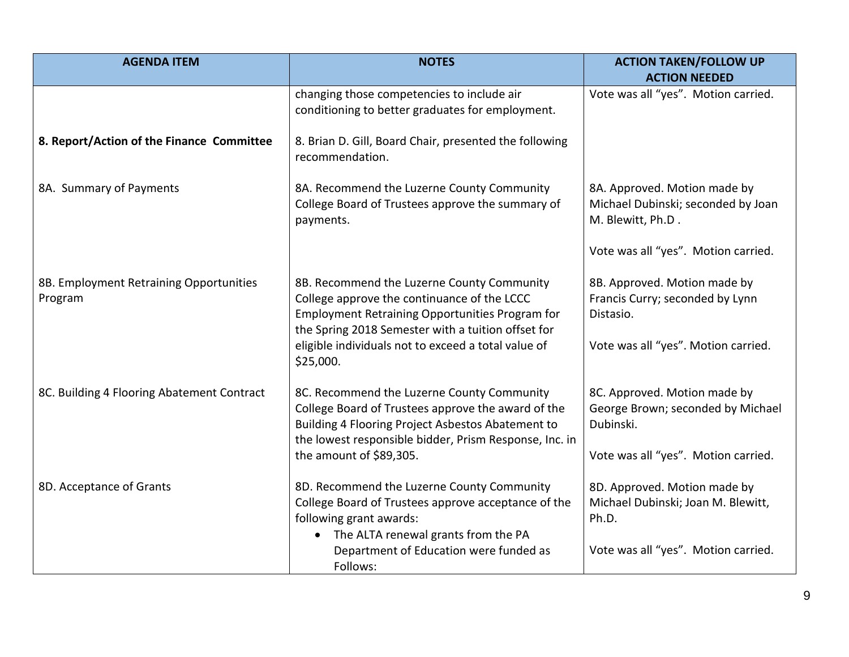| <b>AGENDA ITEM</b>                                 | <b>NOTES</b>                                                                                                                                                                                                                                                                  | <b>ACTION TAKEN/FOLLOW UP</b><br><b>ACTION NEEDED</b>                                                                 |
|----------------------------------------------------|-------------------------------------------------------------------------------------------------------------------------------------------------------------------------------------------------------------------------------------------------------------------------------|-----------------------------------------------------------------------------------------------------------------------|
|                                                    | changing those competencies to include air<br>conditioning to better graduates for employment.                                                                                                                                                                                | Vote was all "yes". Motion carried.                                                                                   |
| 8. Report/Action of the Finance Committee          | 8. Brian D. Gill, Board Chair, presented the following<br>recommendation.                                                                                                                                                                                                     |                                                                                                                       |
| 8A. Summary of Payments                            | 8A. Recommend the Luzerne County Community<br>College Board of Trustees approve the summary of<br>payments.                                                                                                                                                                   | 8A. Approved. Motion made by<br>Michael Dubinski; seconded by Joan<br>M. Blewitt, Ph.D.                               |
|                                                    |                                                                                                                                                                                                                                                                               | Vote was all "yes". Motion carried.                                                                                   |
| 8B. Employment Retraining Opportunities<br>Program | 8B. Recommend the Luzerne County Community<br>College approve the continuance of the LCCC<br><b>Employment Retraining Opportunities Program for</b><br>the Spring 2018 Semester with a tuition offset for<br>eligible individuals not to exceed a total value of<br>\$25,000. | 8B. Approved. Motion made by<br>Francis Curry; seconded by Lynn<br>Distasio.<br>Vote was all "yes". Motion carried.   |
| 8C. Building 4 Flooring Abatement Contract         | 8C. Recommend the Luzerne County Community<br>College Board of Trustees approve the award of the<br>Building 4 Flooring Project Asbestos Abatement to<br>the lowest responsible bidder, Prism Response, Inc. in<br>the amount of \$89,305.                                    | 8C. Approved. Motion made by<br>George Brown; seconded by Michael<br>Dubinski.<br>Vote was all "yes". Motion carried. |
| 8D. Acceptance of Grants                           | 8D. Recommend the Luzerne County Community<br>College Board of Trustees approve acceptance of the<br>following grant awards:<br>The ALTA renewal grants from the PA<br>$\bullet$<br>Department of Education were funded as<br>Follows:                                        | 8D. Approved. Motion made by<br>Michael Dubinski; Joan M. Blewitt,<br>Ph.D.<br>Vote was all "yes". Motion carried.    |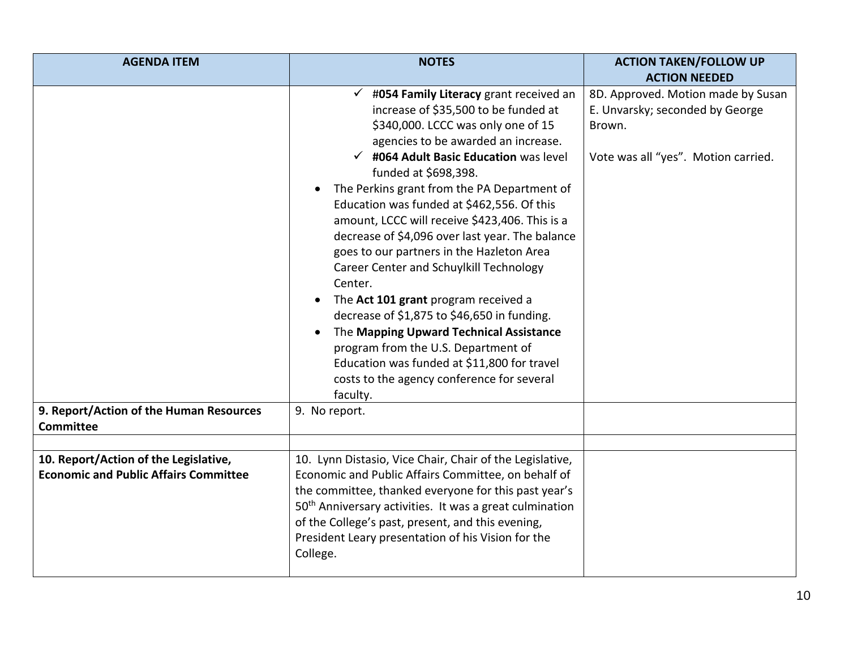| <b>AGENDA ITEM</b>                                                                    | <b>NOTES</b>                                                                                                                                                                                                                                                                                                                                                                                                                                                                                                                                                                                                                                                                                                                                                                                                                                                  | <b>ACTION TAKEN/FOLLOW UP</b>                                                                                          |
|---------------------------------------------------------------------------------------|---------------------------------------------------------------------------------------------------------------------------------------------------------------------------------------------------------------------------------------------------------------------------------------------------------------------------------------------------------------------------------------------------------------------------------------------------------------------------------------------------------------------------------------------------------------------------------------------------------------------------------------------------------------------------------------------------------------------------------------------------------------------------------------------------------------------------------------------------------------|------------------------------------------------------------------------------------------------------------------------|
|                                                                                       |                                                                                                                                                                                                                                                                                                                                                                                                                                                                                                                                                                                                                                                                                                                                                                                                                                                               | <b>ACTION NEEDED</b>                                                                                                   |
| 9. Report/Action of the Human Resources<br><b>Committee</b>                           | $\checkmark$ #054 Family Literacy grant received an<br>increase of \$35,500 to be funded at<br>\$340,000. LCCC was only one of 15<br>agencies to be awarded an increase.<br>$\checkmark$ #064 Adult Basic Education was level<br>funded at \$698,398.<br>The Perkins grant from the PA Department of<br>Education was funded at \$462,556. Of this<br>amount, LCCC will receive \$423,406. This is a<br>decrease of \$4,096 over last year. The balance<br>goes to our partners in the Hazleton Area<br>Career Center and Schuylkill Technology<br>Center.<br>The Act 101 grant program received a<br>decrease of \$1,875 to \$46,650 in funding.<br>The Mapping Upward Technical Assistance<br>program from the U.S. Department of<br>Education was funded at \$11,800 for travel<br>costs to the agency conference for several<br>faculty.<br>9. No report. | 8D. Approved. Motion made by Susan<br>E. Unvarsky; seconded by George<br>Brown.<br>Vote was all "yes". Motion carried. |
|                                                                                       |                                                                                                                                                                                                                                                                                                                                                                                                                                                                                                                                                                                                                                                                                                                                                                                                                                                               |                                                                                                                        |
| 10. Report/Action of the Legislative,<br><b>Economic and Public Affairs Committee</b> | 10. Lynn Distasio, Vice Chair, Chair of the Legislative,<br>Economic and Public Affairs Committee, on behalf of<br>the committee, thanked everyone for this past year's<br>50 <sup>th</sup> Anniversary activities. It was a great culmination<br>of the College's past, present, and this evening,<br>President Leary presentation of his Vision for the<br>College.                                                                                                                                                                                                                                                                                                                                                                                                                                                                                         |                                                                                                                        |